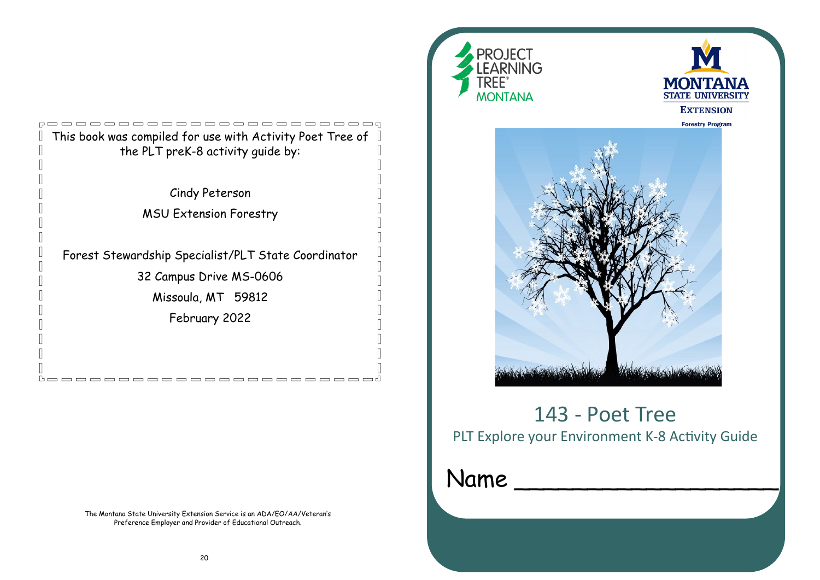This book was compiled for use with Activity Poet Tree of  $\Box$ the PLT preK-8 activity guide by:

Cindy Peterson

MSU Extension Forestry

Forest Stewardship Specialist/PLT State Coordinator 32 Campus Drive MS-0606 Missoula, MT 59812 February 2022

------------------------

The Montana State University Extension Service is an ADA/EO/AA/Veteran's Preference Employer and Provider of Educational Outreach.



#### 143 - Poet Tree PLT Explore your Environment K-8 Activity Guide

Name

 $\begin{array}{c} \hline \end{array}$  $\begin{array}{c} \hline \end{array}$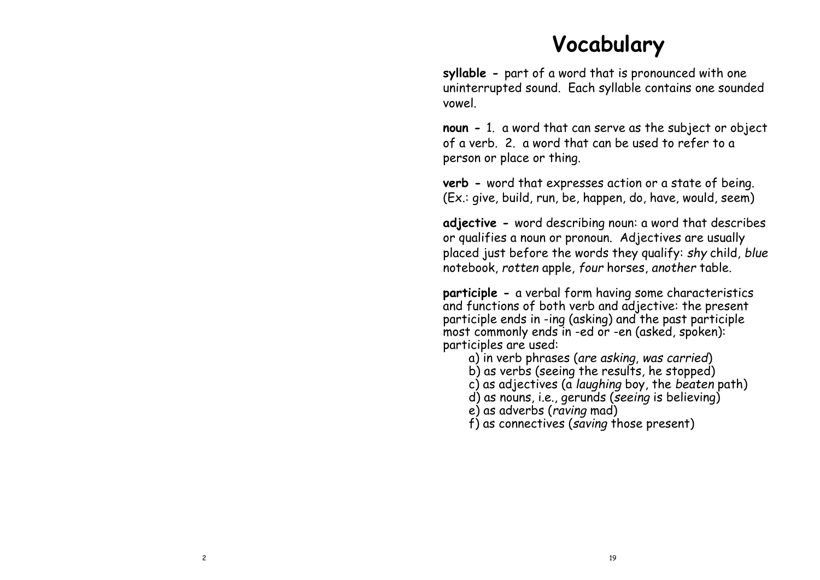# **Vocabulary**

**syllable -** part of a word that is pronounced with one uninterrupted sound. Each syllable contains one sounded vowel.

**noun -** 1. a word that can serve as the subject or object of a verb. 2. a word that can be used to refer to a person or place or thing.

**verb -** word that expresses action or a state of being. (Ex.: give, build, run, be, happen, do, have, would, seem)

**adjective -** word describing noun: a word that describes or qualifies a noun or pronoun. Adjectives are usually placed just before the words they qualify: *shy* child, *blue*  notebook, *rotten* apple, *four* horses, *another* table.

**participle -** a verbal form having some characteristics and functions of both verb and adjective: the present participle ends in -ing (asking) and the past participle most commonly ends in -ed or -en (asked, spoken): participles are used:

a) in verb phrases (*are asking*, *was carried*)

b) as verbs (seeing the results, he stopped)

c) as adjectives (a *laughing* boy, the *beaten* path)

d) as nouns, i.e., gerunds (*seeing* is believing)

e) as adverbs (*raving* mad)

f) as connectives (*saving* those present)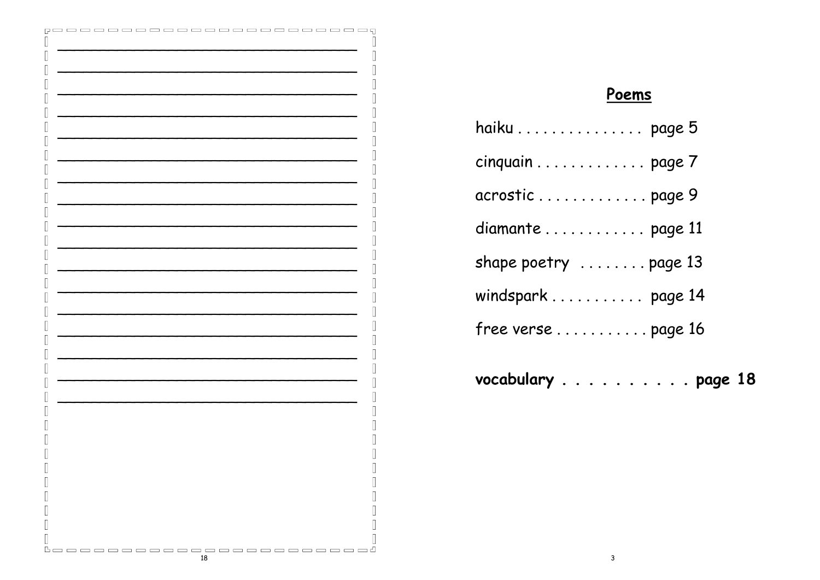

#### Poems

| haiku page 5                        |
|-------------------------------------|
| $c$ inquain page $7$                |
| acrostic page 9                     |
| diamante  page 11                   |
| shape poetry $\dots\dots$ . page 13 |
| windspark  page 14                  |
| free verse page 16                  |
|                                     |

vocabulary . . . . . . . . . . page 18

 $\Box$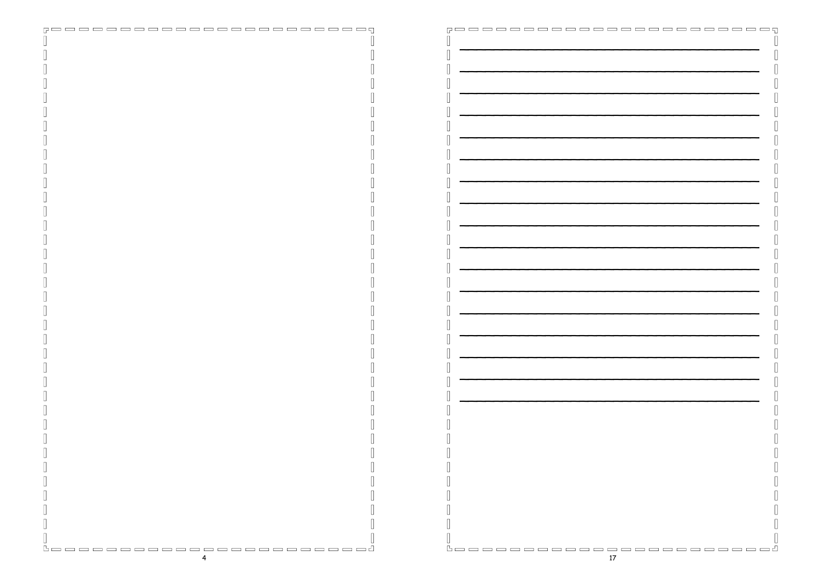Ŀг  $\qquad \qquad$  $\sim$ ᆖ  $\overline{4}$ 

-------------------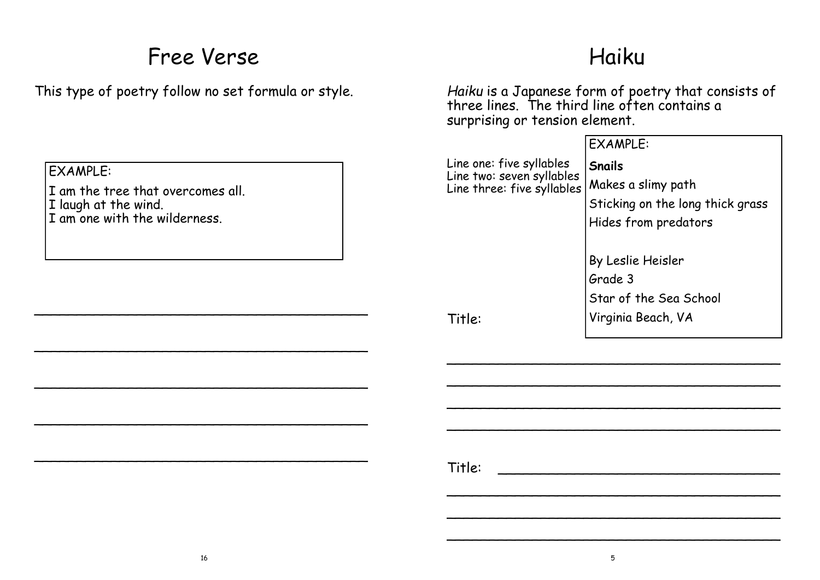### Free Verse

This type of poetry follow no set formula or style.

 $\overline{a}$  , and the set of the set of the set of the set of the set of the set of the set of the set of the set of the set

 $\sim$  , and the state of the state of the state of the state of the state of the state of the state of the state of the state of the state of the state of the state of the state of the state of the state of the state of th

\_\_\_\_\_\_\_\_\_\_\_\_\_\_\_\_\_\_\_\_\_\_\_\_\_\_\_\_\_\_\_\_\_\_\_\_\_\_\_

\_\_\_\_\_\_\_\_\_\_\_\_\_\_\_\_\_\_\_\_\_\_\_\_\_\_\_\_\_\_\_\_\_\_\_\_\_\_\_

 $\overline{a}$  , and the set of the set of the set of the set of the set of the set of the set of the set of the set of the set

#### EXAMPLE:

 $\vert$ I am the tree that overcomes all. I laugh at the wind. I am one with the wilderness.

### Haiku

*Haiku* is a Japanese form of poetry that consists of three lines. The third line often contains a surprising or tension element.

|                                                       | <b>EXAMPLE:</b>                  |
|-------------------------------------------------------|----------------------------------|
| Line one: five syllables<br>Line two: seven syllables | <b>Snails</b>                    |
| Line three: five syllables                            | Makes a slimy path               |
|                                                       | Sticking on the long thick grass |
|                                                       | Hides from predators             |
|                                                       |                                  |
|                                                       | By Leslie Heisler                |
|                                                       | Grade 3                          |
|                                                       | Star of the Sea School           |
| Title:                                                | Virginia Beach, VA               |
|                                                       |                                  |

 $\sim$  , and the state of the state of the state of the state of the state of the state of the state of the state of the state of the state of the state of the state of the state of the state of the state of the state of th

\_\_\_\_\_\_\_\_\_\_\_\_\_\_\_\_\_\_\_\_\_\_\_\_\_\_\_\_\_\_\_\_\_\_\_\_\_\_\_

\_\_\_\_\_\_\_\_\_\_\_\_\_\_\_\_\_\_\_\_\_\_\_\_\_\_\_\_\_\_\_\_\_\_\_\_\_\_\_

 $\overline{a}$ 

\_\_\_\_\_\_\_\_\_\_\_\_\_\_\_\_\_\_\_\_\_\_\_\_\_\_\_\_\_\_\_\_\_\_\_\_\_\_\_

\_\_\_\_\_\_\_\_\_\_\_\_\_\_\_\_\_\_\_\_\_\_\_\_\_\_\_\_\_\_\_\_\_\_\_\_\_\_\_

 $\overline{a}$ 

Title: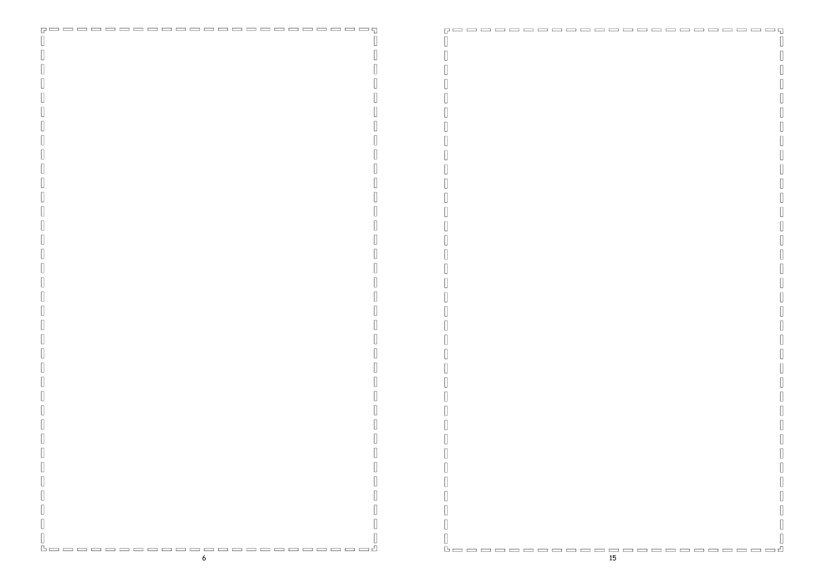|   |  | pooooooooooooooooooooooq  |                          |
|---|--|---------------------------|--------------------------|
|   |  |                           | $\Box$                   |
|   |  |                           | $\Box$                   |
|   |  |                           |                          |
|   |  |                           | I                        |
|   |  |                           |                          |
|   |  |                           |                          |
|   |  |                           |                          |
|   |  |                           | U                        |
|   |  |                           |                          |
|   |  |                           | I                        |
|   |  |                           |                          |
|   |  |                           |                          |
|   |  |                           |                          |
|   |  |                           | $\overline{\phantom{a}}$ |
|   |  |                           |                          |
|   |  |                           |                          |
|   |  |                           |                          |
|   |  |                           |                          |
|   |  |                           | I                        |
|   |  |                           | $\Box$                   |
|   |  |                           |                          |
|   |  |                           |                          |
|   |  |                           |                          |
|   |  |                           |                          |
|   |  |                           | $\overline{\phantom{a}}$ |
|   |  |                           |                          |
|   |  |                           |                          |
|   |  |                           |                          |
|   |  |                           | $\Box$                   |
|   |  |                           |                          |
|   |  |                           | $\Box$                   |
|   |  |                           |                          |
|   |  |                           |                          |
|   |  |                           |                          |
| U |  |                           | $\Box$                   |
|   |  |                           |                          |
|   |  |                           |                          |
|   |  |                           |                          |
|   |  |                           |                          |
|   |  |                           |                          |
|   |  |                           |                          |
|   |  |                           |                          |
|   |  | boooooooooooooooooooooooo |                          |

 $\begin{bmatrix} 1 \\ 2 \end{bmatrix}$  $\hfill\Box$ 

 $\begin{bmatrix} \phantom{-} \end{bmatrix}$ 

 $\hfill\Box$  $\begin{bmatrix} 1 \\ 2 \end{bmatrix}$  $\begin{array}{c} \hline \end{array}$  $\sqrt{2}$  $\begin{array}{c} \hline \end{array}$  $\begin{bmatrix} 1 & 1 \\ 1 & 1 \end{bmatrix}$  $\begin{bmatrix} 1 \\ 2 \end{bmatrix}$  $\begin{array}{c} \hline \end{array}$  $\begin{bmatrix} 1 \\ 2 \end{bmatrix}$  $\begin{bmatrix} 1 \\ 2 \end{bmatrix}$  $\mathbb{R}$  $\begin{bmatrix} 1 \\ 2 \end{bmatrix}$  $\begin{array}{c} \hline \end{array}$  $\begin{array}{c} \hline \end{array}$  $\begin{bmatrix} \phantom{-} \end{bmatrix}$  $\begin{array}{c} \hline \end{array}$  $\mathbb{R}$  $\begin{array}{c} \hline \end{array}$  $\mathbb{L}$  $\begin{bmatrix} 1 \\ 2 \end{bmatrix}$  $\hfill\Box$  $\mathbb{R}$  $\mathbb{L}$  $\begin{array}{c} \hline \end{array}$  $\begin{bmatrix} 1 & 1 \\ 1 & 1 \end{bmatrix}$  $\hfill$  $\begin{array}{c} \hline \end{array}$  $\mathbb{R}$  $\mathbb{R}$ 

 $\begin{bmatrix} 1 & 1 \\ 1 & 1 \end{bmatrix}$  $\Box$ 

poooooooooooooooooooooooo

 $\mathbb{R}$  $\hfill\Box$  $\begin{array}{c} \hline \end{array}$  $\Box$ booooooooooooooooooooooood

15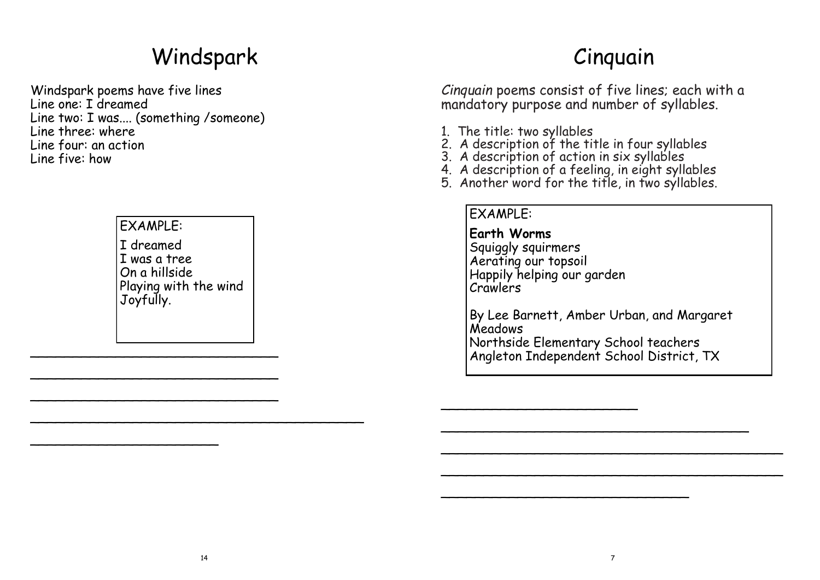# Windspark

Windspark poems have five lines Line one: I dreamed Line two: I was.... (something /someone) Line three: where Line four: an action Line five: how

#### EXAMPLE: I dreamed I was a tree On a hillside Playing with the wind Joyfully.

 $\sim$  , and the set of the set of the set of the set of the set of the set of the set of the set of the set of the set of the set of the set of the set of the set of the set of the set of the set of the set of the set of t

\_\_\_\_\_\_\_\_\_\_\_\_\_\_\_\_\_\_\_\_\_\_\_\_\_\_\_\_\_

 $\sim$  , and the set of the set of the set of the set of the set of the set of the set of the set of the set of the set of the set of the set of the set of the set of the set of the set of the set of the set of the set of t

 $\sim$  . The contract of the contract of the contract of the contract of the contract of the contract of the contract of the contract of the contract of the contract of the contract of the contract of the contract of the co

## Cinquain

*Cinquain* poems consist of five lines; each with a mandatory purpose and number of syllables.

- 1. The title: two syllables
- 2. A description of the title in four syllables
- 3. A description of action in six syllables
- 4. A description of a feeling, in eight syllables
- 5. Another word for the title, in two syllables.

#### EXAMPLE:

**Earth Worms** Squiggly squirmers Aerating our topsoil Happily helping our garden Crawlers

 $\overline{\phantom{a}}$  , and the set of the set of the set of the set of the set of the set of the set of the set of the set of the set of the set of the set of the set of the set of the set of the set of the set of the set of the s

By Lee Barnett, Amber Urban, and Margaret Meadows Northside Elementary School teachers Angleton Independent School District, TX

\_\_\_\_\_\_\_\_\_\_\_\_\_\_\_\_\_\_\_\_\_\_\_\_\_\_\_\_\_\_\_\_\_\_\_\_

\_\_\_\_\_\_\_\_\_\_\_\_\_\_\_\_\_\_\_\_\_\_\_\_\_\_\_\_\_

\_\_\_\_\_\_\_\_\_\_\_\_\_\_\_\_\_\_\_\_\_\_\_\_\_\_\_\_\_\_\_\_\_\_\_\_\_\_\_\_

\_\_\_\_\_\_\_\_\_\_\_\_\_\_\_\_\_\_\_\_\_\_\_\_\_\_\_\_\_\_\_\_\_\_\_\_\_\_\_\_

 $\overline{a}$  , and the set of the set of the set of the set of the set of the set of the set of the set of the set of the set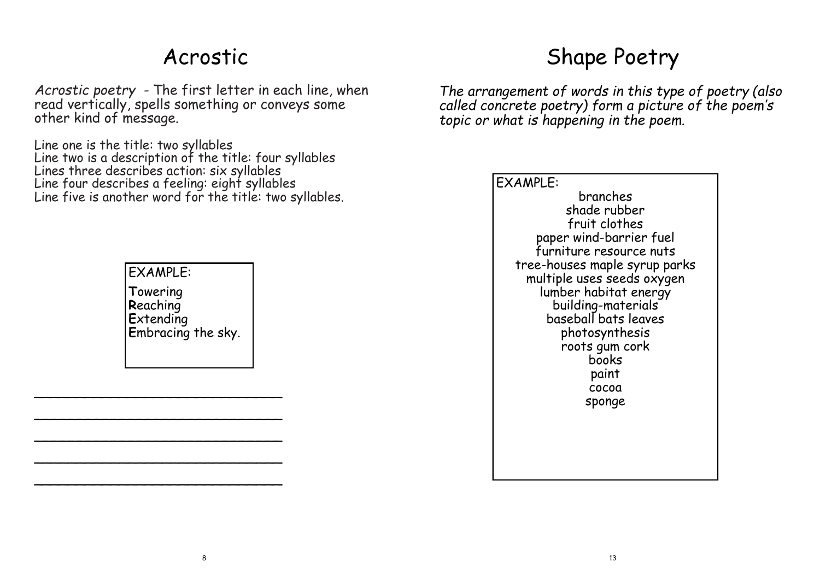### Acrostic

*Acrostic poetry -* The first letter in each line, when read vertically, spells something or conveys some other kind of message.

Line one is the title: two syllables Line two is a description of the title: four syllables Lines three describes action: six syllables Line four describes a feeling: eight syllables Line five is another word for the title: two syllables.

> EXAMPLE: **T**owering **R**eaching **E**xtending **E**mbracing the sky.

 $\sim$  , and the set of the set of the set of the set of the set of the set of the set of the set of the set of the set of the set of the set of the set of the set of the set of the set of the set of the set of the set of t

 $\sim$  , and the set of the set of the set of the set of the set of the set of the set of the set of the set of the set of the set of the set of the set of the set of the set of the set of the set of the set of the set of t

\_\_\_\_\_\_\_\_\_\_\_\_\_\_\_\_\_\_\_\_\_\_\_\_\_\_\_\_\_

\_\_\_\_\_\_\_\_\_\_\_\_\_\_\_\_\_\_\_\_\_\_\_\_\_\_\_\_\_

\_\_\_\_\_\_\_\_\_\_\_\_\_\_\_\_\_\_\_\_\_\_\_\_\_\_\_\_\_

# Shape Poetry

*The arrangement of words in this type of poetry (also called concrete poetry) form a picture of the poem's topic or what is happening in the poem.*

> EXAMPLE: branches shade rubber fruit clothes paper wind-barrier fuel furniture resource nuts tree-houses maple syrup parks multiple uses seeds oxygen lumber habitat energy building-materials baseball bats leaves photosynthesis roots gum cork books paint cocoa sponge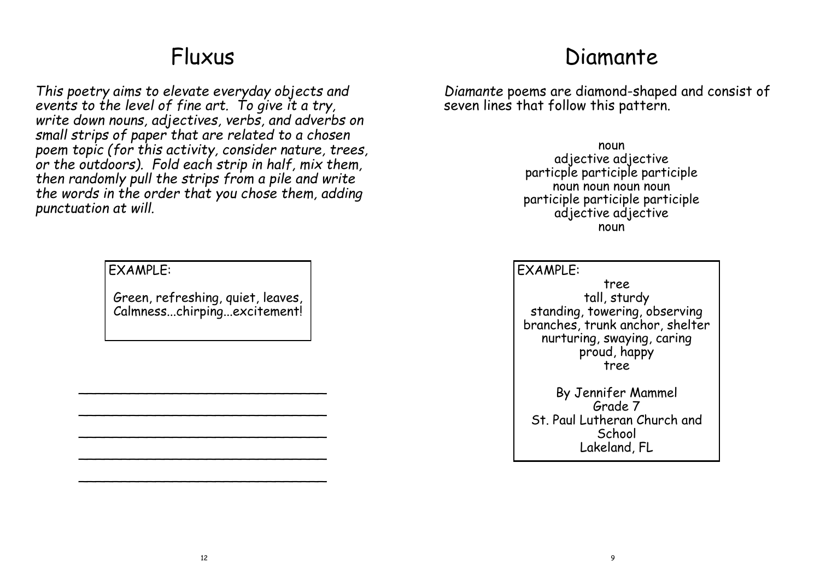# Fluxus

*This poetry aims to elevate everyday objects and events to the level of fine art. To give it a try, write down nouns, adjectives, verbs, and adverbs on small strips of paper that are related to a chosen poem topic (for this activity, consider nature, trees, or the outdoors). Fold each strip in half, mix them, then randomly pull the strips from a pile and write the words in the order that you chose them, adding punctuation at will.*

#### EXAMPLE:

Green, refreshing, quiet, leaves, Calmness...chirping...excitement!

\_\_\_\_\_\_\_\_\_\_\_\_\_\_\_\_\_\_\_\_\_\_\_\_\_\_\_\_\_

 $\overline{a}$ 

 $\overline{a}$ 

\_\_\_\_\_\_\_\_\_\_\_\_\_\_\_\_\_\_\_\_\_\_\_\_\_\_\_\_\_

\_\_\_\_\_\_\_\_\_\_\_\_\_\_\_\_\_\_\_\_\_\_\_\_\_\_\_\_\_

### Diamante

*Diamante* poems are diamond-shaped and consist of seven lines that follow this pattern.

> noun adjective adjective particple participle participle noun noun noun noun participle participle participle adjective adjective noun

EXAMPLE: tree tall, sturdy standing, towering, observing branches, trunk anchor, shelter nurturing, swaying, caring proud, happy tree By Jennifer Mammel Grade 7 St. Paul Lutheran Church and School Lakeland, FL